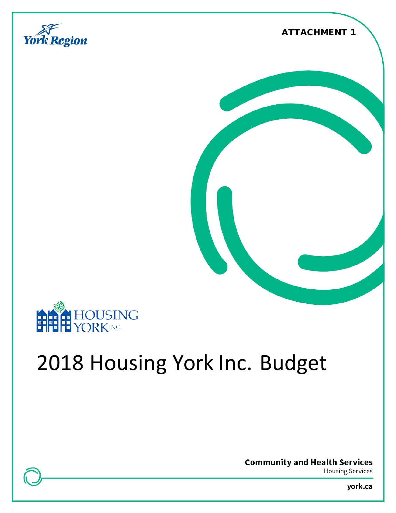







# 2018 Housing York Inc. Budget

**Community and Health Services** 

**Housing Services** 

york.ca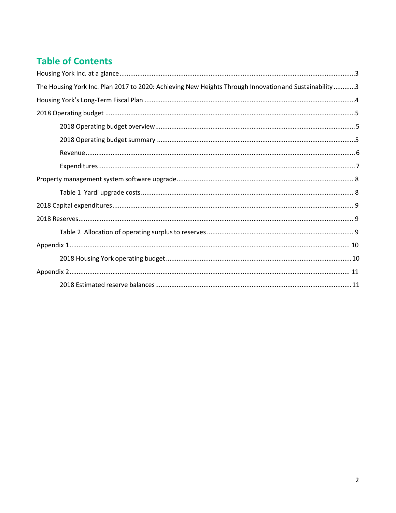# **Table of Contents**

| The Housing York Inc. Plan 2017 to 2020: Achieving New Heights Through Innovation and Sustainability3 |  |
|-------------------------------------------------------------------------------------------------------|--|
|                                                                                                       |  |
|                                                                                                       |  |
|                                                                                                       |  |
|                                                                                                       |  |
|                                                                                                       |  |
|                                                                                                       |  |
|                                                                                                       |  |
|                                                                                                       |  |
|                                                                                                       |  |
|                                                                                                       |  |
|                                                                                                       |  |
|                                                                                                       |  |
|                                                                                                       |  |
|                                                                                                       |  |
|                                                                                                       |  |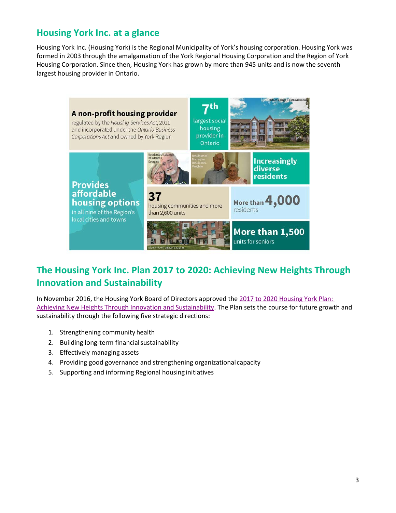## <span id="page-2-0"></span>**Housing York Inc. at a glance**

Housing York Inc. (Housing York) is the Regional Municipality of York's housing corporation. Housing York was formed in 2003 through the amalgamation of the York Regional Housing Corporation and the Region of York Housing Corporation. Since then, Housing York has grown by more than 945 units and is now the seventh largest housing provider in Ontario.



## <span id="page-2-1"></span>**The Housing York Inc. Plan 2017 to 2020: Achieving New Heights Through Innovation and Sustainability**

In November 2016, the Housing York Board of Directors approved the [2017 to 2020 Housing York Plan:](http://www.york.ca/wps/wcm/connect/yorkpublic/45b025d8-6a0f-48a5-8077-81f8d8aaf91b/HYI%2BStrategic%2BPlan%2B2017-2020%2Bweb.pdf?MOD=AJPERES) [Achieving New Heights Through Innovation and Sustainability.](http://www.york.ca/wps/wcm/connect/yorkpublic/45b025d8-6a0f-48a5-8077-81f8d8aaf91b/HYI%2BStrategic%2BPlan%2B2017-2020%2Bweb.pdf?MOD=AJPERES) The Plan sets the course for future growth and sustainability through the following five strategic directions:

- 1. Strengthening community health
- 2. Building long-term financial sustainability
- 3. Effectively managing assets
- 4. Providing good governance and strengthening organizational capacity
- 5. Supporting and informing Regional housing initiatives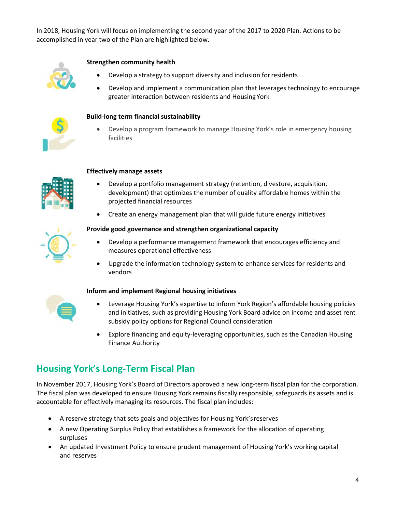In 2018, Housing York will focus on implementing the second year of the 2017 to 2020 Plan. Actions to be accomplished in year two of the Plan are highlighted below.



#### **Strengthen community health**

- Develop a strategy to support diversity and inclusion forresidents
- Develop and implement a communication plan that leverages technology to encourage greater interaction between residents and HousingYork



#### **Build-long term financial sustainability**

• Develop a program framework to manage Housing York's role in emergency housing facilities



#### **Effectively manage assets**

- Develop a portfolio management strategy (retention, divesture, acquisition, development) that optimizes the number of quality affordable homes within the projected financial resources
- Create an energy management plan that will guide future energy initiatives

#### **Provide good governance and strengthen organizational capacity**

- Develop a performance management framework that encourages efficiency and measures operational effectiveness
- Upgrade the information technology system to enhance services for residents and vendors



#### **Inform and implement Regional housing initiatives**

- Leverage Housing York's expertise to inform York Region's affordable housing policies and initiatives, such as providing Housing York Board advice on income and asset rent subsidy policy options for Regional Council consideration
- Explore financing and equity-leveraging opportunities, such as the Canadian Housing Finance Authority

## <span id="page-3-0"></span>**Housing York's Long-Term Fiscal Plan**

In November 2017, Housing York's Board of Directors approved a new long-term fiscal plan for the corporation. The fiscal plan was developed to ensure Housing York remains fiscally responsible, safeguards its assets and is accountable for effectively managing its resources. The fiscal plan includes:

- A reserve strategy that sets goals and objectives for Housing York'sreserves
- A new Operating Surplus Policy that establishes a framework for the allocation of operating surpluses
- An updated Investment Policy to ensure prudent management of Housing York's working capital and reserves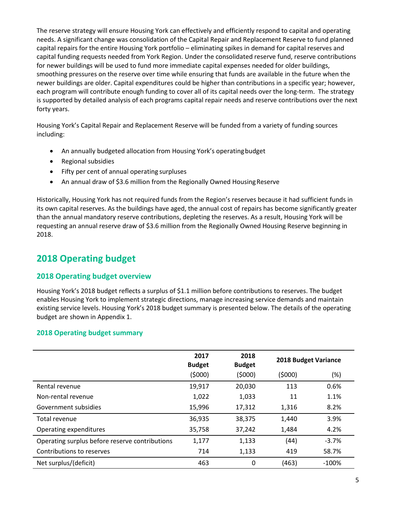The reserve strategy will ensure Housing York can effectively and efficiently respond to capital and operating needs. A significant change was consolidation of the Capital Repair and Replacement Reserve to fund planned capital repairs for the entire Housing York portfolio – eliminating spikes in demand for capital reserves and capital funding requests needed from York Region. Under the consolidated reserve fund, reserve contributions for newer buildings will be used to fund more immediate capital expenses needed for older buildings, smoothing pressures on the reserve over time while ensuring that funds are available in the future when the newer buildings are older. Capital expenditures could be higher than contributions in a specific year; however, each program will contribute enough funding to cover all of its capital needs over the long-term. The strategy is supported by detailed analysis of each programs capital repair needs and reserve contributions over the next forty years.

Housing York's Capital Repair and Replacement Reserve will be funded from a variety of funding sources including:

- An annually budgeted allocation from Housing York's operatingbudget
- Regional subsidies
- Fifty per cent of annual operating surpluses
- An annual draw of \$3.6 million from the Regionally Owned Housing Reserve

Historically, Housing York has not required funds from the Region's reserves because it had sufficient funds in its own capital reserves. As the buildings have aged, the annual cost of repairs has become significantly greater than the annual mandatory reserve contributions, depleting the reserves. As a result, Housing York will be requesting an annual reserve draw of \$3.6 million from the Regionally Owned Housing Reserve beginning in 2018.

## <span id="page-4-0"></span>**2018 Operating budget**

#### <span id="page-4-1"></span>**2018 Operating budget overview**

Housing York's 2018 budget reflects a surplus of \$1.1 million before contributions to reserves. The budget enables Housing York to implement strategic directions, manage increasing service demands and maintain existing service levels. Housing York's 2018 budget summary is presented below. The details of the operating budget are shown in Appendix 1.

#### <span id="page-4-2"></span>**2018 Operating budget summary**

|                                                | 2017<br><b>Budget</b> | 2018<br><b>Budget</b> | <b>2018 Budget Variance</b> |          |
|------------------------------------------------|-----------------------|-----------------------|-----------------------------|----------|
|                                                | (\$000)               | (5000)                | (5000)                      | $(\%)$   |
| Rental revenue                                 | 19,917                | 20,030                | 113                         | 0.6%     |
| Non-rental revenue                             | 1,022                 | 1,033                 | 11                          | 1.1%     |
| Government subsidies                           | 15,996                | 17,312                | 1,316                       | 8.2%     |
| Total revenue                                  | 36,935                | 38,375                | 1,440                       | 3.9%     |
| Operating expenditures                         | 35,758                | 37,242                | 1,484                       | 4.2%     |
| Operating surplus before reserve contributions | 1,177                 | 1,133                 | (44)                        | $-3.7%$  |
| Contributions to reserves                      | 714                   | 1,133                 | 419                         | 58.7%    |
| Net surplus/(deficit)                          | 463                   | 0                     | (463)                       | $-100\%$ |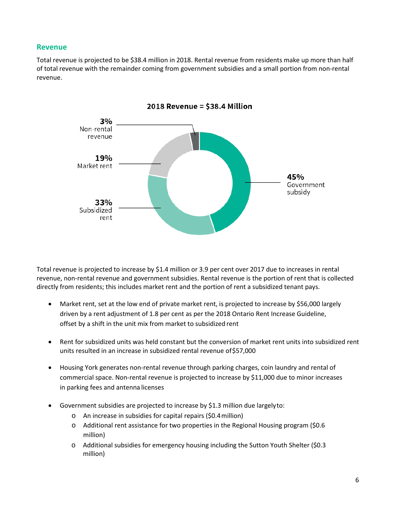#### <span id="page-5-0"></span>**Revenue**

Total revenue is projected to be \$38.4 million in 2018. Rental revenue from residents make up more than half of total revenue with the remainder coming from government subsidies and a small portion from non-rental revenue.



Total revenue is projected to increase by \$1.4 million or 3.9 per cent over 2017 due to increases in rental revenue, non-rental revenue and government subsidies. Rental revenue is the portion of rent that is collected directly from residents; this includes market rent and the portion of rent a subsidized tenant pays.

- Market rent, set at the low end of private market rent, is projected to increase by \$56,000 largely driven by a rent adjustment of 1.8 per cent as per the 2018 Ontario Rent Increase Guideline, offset by a shift in the unit mix from market to subsidized rent
- Rent for subsidized units was held constant but the conversion of market rent units into subsidized rent units resulted in an increase in subsidized rental revenue of\$57,000
- Housing York generates non-rental revenue through parking charges, coin laundry and rental of commercial space. Non-rental revenue is projected to increase by \$11,000 due to minor increases in parking fees and antenna licenses
- Government subsidies are projected to increase by \$1.3 million due largelyto:
	- o An increase in subsidies for capital repairs (\$0.4million)
	- $\circ$  Additional rent assistance for two properties in the Regional Housing program (\$0.6) million)
	- o Additional subsidies for emergency housing including the Sutton Youth Shelter (\$0.3 million)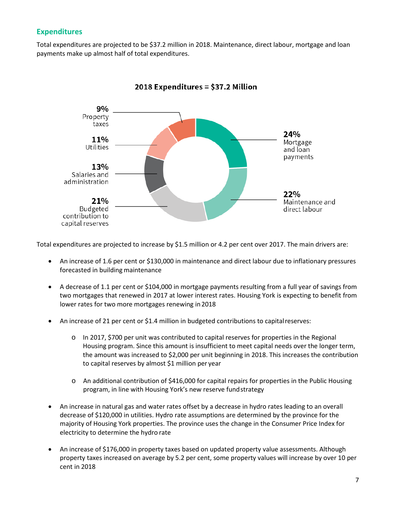#### <span id="page-6-0"></span>**Expenditures**

Total expenditures are projected to be \$37.2 million in 2018. Maintenance, direct labour, mortgage and loan payments make up almost half of total expenditures.



2018 Expenditures = \$37.2 Million

Total expenditures are projected to increase by \$1.5 million or 4.2 per cent over 2017. The main drivers are:

- An increase of 1.6 per cent or \$130,000 in maintenance and direct labour due to inflationary pressures forecasted in building maintenance
- A decrease of 1.1 per cent or \$104,000 in mortgage payments resulting from a full year of savings from two mortgages that renewed in 2017 at lower interest rates. Housing York is expecting to benefit from lower rates for two more mortgages renewing in2018
- An increase of 21 per cent or \$1.4 million in budgeted contributions to capitalreserves:
	- o In 2017, \$700 per unit was contributed to capital reserves for properties in the Regional Housing program. Since this amount is insufficient to meet capital needs over the longer term, the amount was increased to \$2,000 per unit beginning in 2018. This increases the contribution to capital reserves by almost \$1 million per year
	- o An additional contribution of \$416,000 for capital repairs for properties in the Public Housing program, in line with Housing York's new reserve fundstrategy
- An increase in natural gas and water rates offset by a decrease in hydro rates leading to an overall decrease of \$120,000 in utilities. Hydro rate assumptions are determined by the province for the majority of Housing York properties. The province uses the change in the Consumer Price Index for electricity to determine the hydro rate
- An increase of \$176,000 in property taxes based on updated property value assessments. Although property taxes increased on average by 5.2 per cent, some property values will increase by over 10 per cent in 2018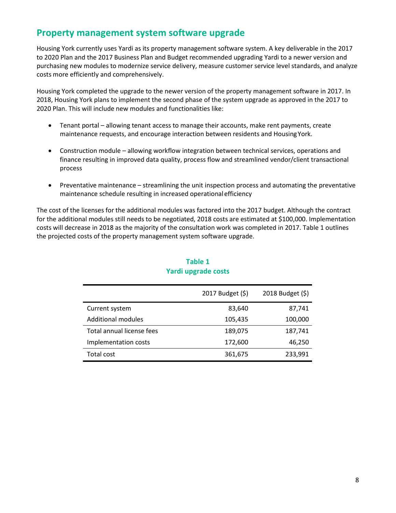## <span id="page-7-0"></span>**Property management system software upgrade**

Housing York currently uses Yardi as its property management software system. A key deliverable in the 2017 to 2020 Plan and the 2017 Business Plan and Budget recommended upgrading Yardi to a newer version and purchasing new modules to modernize service delivery, measure customer service level standards, and analyze costs more efficiently and comprehensively.

Housing York completed the upgrade to the newer version of the property management software in 2017. In 2018, Housing York plans to implement the second phase of the system upgrade as approved in the 2017 to 2020 Plan. This will include new modules and functionalities like:

- Tenant portal allowing tenant access to manage their accounts, make rent payments, create maintenance requests, and encourage interaction between residents and HousingYork.
- Construction module allowing workflow integration between technical services, operations and finance resulting in improved data quality, process flow and streamlined vendor/client transactional process
- Preventative maintenance streamlining the unit inspection process and automating the preventative maintenance schedule resulting in increased operationalefficiency

<span id="page-7-1"></span>The cost of the licenses for the additional modules was factored into the 2017 budget. Although the contract for the additional modules still needs to be negotiated, 2018 costs are estimated at \$100,000. Implementation costs will decrease in 2018 as the majority of the consultation work was completed in 2017. Table 1 outlines the projected costs of the property management system software upgrade.

|                           | 2017 Budget (\$) | 2018 Budget (\$) |
|---------------------------|------------------|------------------|
| Current system            | 83,640           | 87,741           |
| <b>Additional modules</b> | 105,435          | 100,000          |
| Total annual license fees | 189,075          | 187,741          |
| Implementation costs      | 172,600          | 46,250           |
| Total cost                | 361,675          | 233,991          |

#### **Table 1 Yardi upgrade costs**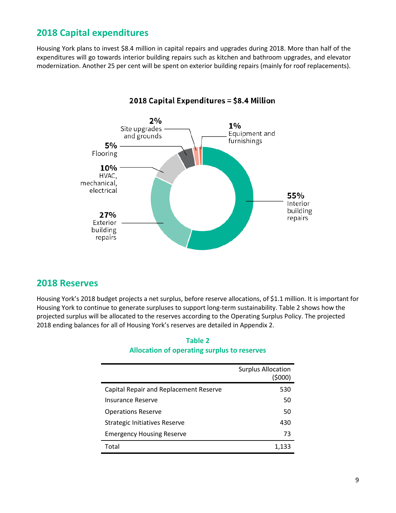## <span id="page-8-0"></span>**2018 Capital expenditures**

Housing York plans to invest \$8.4 million in capital repairs and upgrades during 2018. More than half of the expenditures will go towards interior building repairs such as kitchen and bathroom upgrades, and elevator modernization. Another 25 per cent will be spent on exterior building repairs (mainly for roof replacements).



#### 2018 Capital Expenditures = \$8.4 Million

#### <span id="page-8-1"></span>**2018 Reserves**

<span id="page-8-2"></span>Housing York's 2018 budget projects a net surplus, before reserve allocations, of \$1.1 million. It is important for Housing York to continue to generate surpluses to support long-term sustainability. Table 2 shows how the projected surplus will be allocated to the reserves according to the Operating Surplus Policy. The projected 2018 ending balances for all of Housing York's reserves are detailed in Appendix 2.

# **Table 2 Allocation of operating surplus to reserves**

|                                        | <b>Surplus Allocation</b><br>(\$000) |
|----------------------------------------|--------------------------------------|
| Capital Repair and Replacement Reserve | 530                                  |
| Insurance Reserve                      | 50                                   |
| <b>Operations Reserve</b>              | 50                                   |
| Strategic Initiatives Reserve          | 430                                  |
| <b>Emergency Housing Reserve</b>       | 73                                   |
| Total                                  | 1,133                                |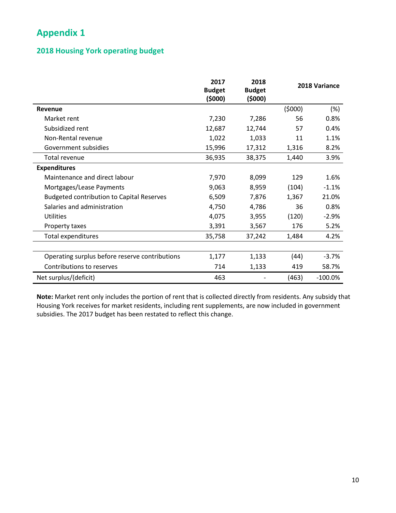## <span id="page-9-0"></span>**Appendix 1**

#### <span id="page-9-1"></span>**2018 Housing York operating budget**

|                                                  | 2017<br><b>Budget</b><br>(5000) | 2018<br><b>Budget</b><br>(\$000) | 2018 Variance |           |
|--------------------------------------------------|---------------------------------|----------------------------------|---------------|-----------|
| Revenue                                          |                                 |                                  | (5000)        | $(\%)$    |
| Market rent                                      | 7,230                           | 7,286                            | 56            | 0.8%      |
| Subsidized rent                                  | 12,687                          | 12,744                           | 57            | 0.4%      |
| Non-Rental revenue                               | 1,022                           | 1,033                            | 11            | 1.1%      |
| Government subsidies                             | 15,996                          | 17,312                           | 1,316         | 8.2%      |
| Total revenue                                    | 36,935                          | 38,375                           | 1,440         | 3.9%      |
| <b>Expenditures</b>                              |                                 |                                  |               |           |
| Maintenance and direct labour                    | 7,970                           | 8,099                            | 129           | 1.6%      |
| Mortgages/Lease Payments                         | 9,063                           | 8,959                            | (104)         | $-1.1%$   |
| <b>Budgeted contribution to Capital Reserves</b> | 6,509                           | 7,876                            | 1,367         | 21.0%     |
| Salaries and administration                      | 4,750                           | 4,786                            | 36            | 0.8%      |
| <b>Utilities</b>                                 | 4,075                           | 3,955                            | (120)         | $-2.9%$   |
| Property taxes                                   | 3,391                           | 3,567                            | 176           | 5.2%      |
| Total expenditures                               | 35,758                          | 37,242                           | 1,484         | 4.2%      |
|                                                  |                                 |                                  |               |           |
| Operating surplus before reserve contributions   | 1,177                           | 1,133                            | (44)          | $-3.7%$   |
| Contributions to reserves                        | 714                             | 1,133                            | 419           | 58.7%     |
| Net surplus/(deficit)                            | 463                             |                                  | (463)         | $-100.0%$ |

**Note:** Market rent only includes the portion of rent that is collected directly from residents. Any subsidy that Housing York receives for market residents, including rent supplements, are now included in government subsidies. The 2017 budget has been restated to reflect this change.